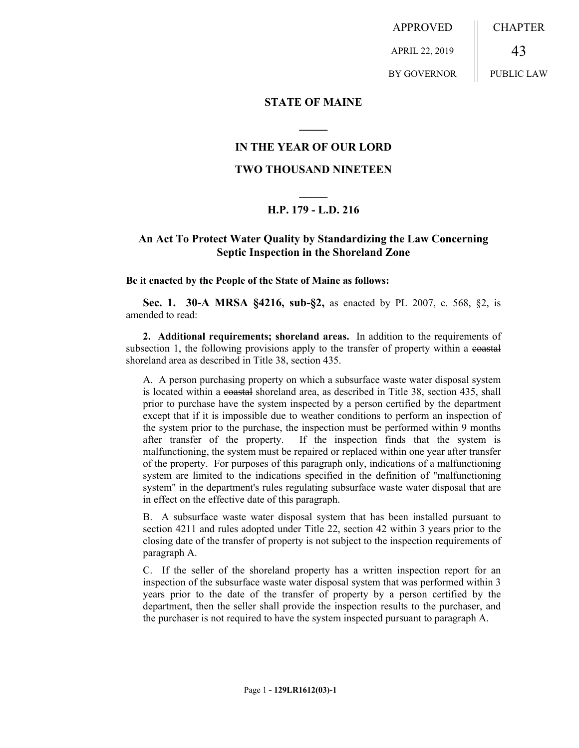APPROVED APRIL 22, 2019 BY GOVERNOR CHAPTER 43 PUBLIC LAW

### **STATE OF MAINE**

### **IN THE YEAR OF OUR LORD**

**\_\_\_\_\_**

### **TWO THOUSAND NINETEEN**

# **\_\_\_\_\_ H.P. 179 - L.D. 216**

## **An Act To Protect Water Quality by Standardizing the Law Concerning Septic Inspection in the Shoreland Zone**

#### **Be it enacted by the People of the State of Maine as follows:**

**Sec. 1. 30-A MRSA §4216, sub-§2,** as enacted by PL 2007, c. 568, §2, is amended to read:

**2. Additional requirements; shoreland areas.** In addition to the requirements of subsection 1, the following provisions apply to the transfer of property within a coastal shoreland area as described in Title 38, section 435.

A. A person purchasing property on which a subsurface waste water disposal system is located within a coastal shoreland area, as described in Title 38, section 435, shall prior to purchase have the system inspected by a person certified by the department except that if it is impossible due to weather conditions to perform an inspection of the system prior to the purchase, the inspection must be performed within 9 months after transfer of the property. If the inspection finds that the system is malfunctioning, the system must be repaired or replaced within one year after transfer of the property. For purposes of this paragraph only, indications of a malfunctioning system are limited to the indications specified in the definition of "malfunctioning system" in the department's rules regulating subsurface waste water disposal that are in effect on the effective date of this paragraph.

B. A subsurface waste water disposal system that has been installed pursuant to section 4211 and rules adopted under Title 22, section 42 within 3 years prior to the closing date of the transfer of property is not subject to the inspection requirements of paragraph A.

C. If the seller of the shoreland property has a written inspection report for an inspection of the subsurface waste water disposal system that was performed within 3 years prior to the date of the transfer of property by a person certified by the department, then the seller shall provide the inspection results to the purchaser, and the purchaser is not required to have the system inspected pursuant to paragraph A.